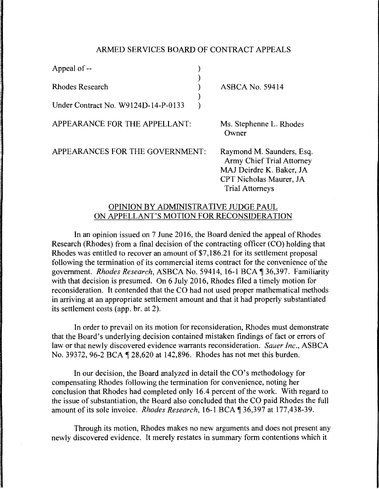## ARMED SERVICES BOARD OF CONTRACT APPEALS

| Appeal of --                        |  |
|-------------------------------------|--|
| <b>Rhodes Research</b>              |  |
| Under Contract No. W9124D-14-P-0133 |  |

ASBCA No. 59414

APPEARANCE FOR THE APPELLANT:

Ms. Stephenne L. Rhodes Owner

APPEARANCES FOR THE GOVERNMENT:

Raymond M. Saunders, Esq. Army Chief Trial Attorney MAJ Deirdre K. Baker, JA CPT Nicholas Maurer, JA Trial Attorneys

## OPINION BY ADMINISTRATIVE JUDGE PAUL ON APPELLANT'S MOTION FOR RECONSIDERATION

In an opinion issued on 7 June 2016, the Board denied the appeal of Rhodes Research (Rhodes) from a final decision of the contracting officer (CO) holding that Rhodes was entitled to recover an amount of \$7, 186.21 for its settlement proposal following the termination of its commercial items contract for the convenience of the government. *Rhodes Research*, ASBCA No. 59414, 16-1 BCA ¶ 36,397. Familiarity with that decision is presumed. On 6 July 2016, Rhodes filed a timely motion for reconsideration. It contended that the CO had not used proper mathematical methods in arriving at an appropriate settlement amount and that it had properly substantiated its settlement costs (app. br. at 2).

In order to prevail on its motion for reconsideration, Rhodes must demonstrate that the Board's underlying decision contained mistaken findings of fact or errors of law or that newly discovered evidence warrants reconsideration. *Sauer Inc.,* ASBCA No. 39372, 96-2 BCA ¶ 28,620 at 142,896. Rhodes has not met this burden.

In our decision, the Board analyzed in detail the CO's methodology for compensating Rhodes following the termination for convenience, noting her conclusion that Rhodes had completed only 16.4 percent of the work. With regard to the issue of substantiation, the Board also concluded that the CO paid Rhodes the full amount of its sole invoice. *Rhodes Research*, 16-1 BCA ¶ 36,397 at 177,438-39.

Through its motion, Rhodes makes no new arguments and does not present any newly discovered evidence. It merely restates in summary form contentions which it